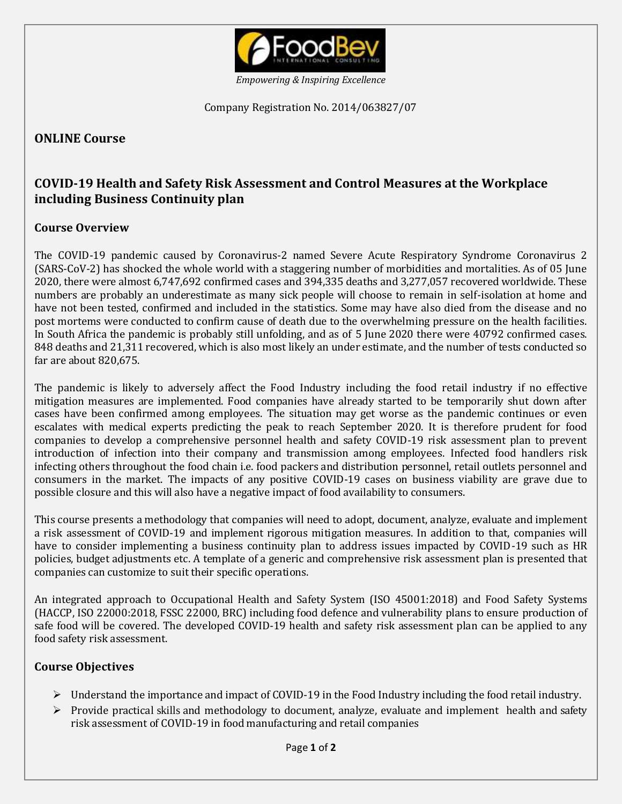

*Empowering & Inspiring Excellence*

Company Registration No. 2014/063827/07

## **ONLINE Course**

# **COVID-19 Health and Safety Risk Assessment and Control Measures at the Workplace including Business Continuity plan**

#### **Course Overview**

The COVID-19 pandemic caused by Coronavirus-2 named Severe Acute Respiratory Syndrome Coronavirus 2 (SARS-CoV-2) has shocked the whole world with a staggering number of morbidities and mortalities. As of 05 June 2020, there were almost 6,747,692 confirmed cases and 394,335 deaths and 3,277,057 recovered worldwide. These numbers are probably an underestimate as many sick people will choose to remain in self-isolation at home and have not been tested, confirmed and included in the statistics. Some may have also died from the disease and no post mortems were conducted to confirm cause of death due to the overwhelming pressure on the health facilities. In South Africa the pandemic is probably still unfolding, and as of 5 June 2020 there were 40792 confirmed cases. 848 deaths and 21,311 recovered, which is also most likely an under estimate, and the number of tests conducted so far are about 820,675.

The pandemic is likely to adversely affect the Food Industry including the food retail industry if no effective mitigation measures are implemented. Food companies have already started to be temporarily shut down after cases have been confirmed among employees. The situation may get worse as the pandemic continues or even escalates with medical experts predicting the peak to reach September 2020. It is therefore prudent for food companies to develop a comprehensive personnel health and safety COVID-19 risk assessment plan to prevent introduction of infection into their company and transmission among employees. Infected food handlers risk infecting others throughout the food chain i.e. food packers and distribution personnel, retail outlets personnel and consumers in the market. The impacts of any positive COVID-19 cases on business viability are grave due to possible closure and this will also have a negative impact of food availability to consumers.

This course presents a methodology that companies will need to adopt, document, analyze, evaluate and implement a risk assessment of COVID-19 and implement rigorous mitigation measures. In addition to that, companies will have to consider implementing a business continuity plan to address issues impacted by COVID-19 such as HR policies, budget adjustments etc. A template of a generic and comprehensive risk assessment plan is presented that companies can customize to suit their specific operations.

An integrated approach to Occupational Health and Safety System (ISO 45001:2018) and Food Safety Systems (HACCP, ISO 22000:2018, FSSC 22000, BRC) including food defence and vulnerability plans to ensure production of safe food will be covered. The developed COVID-19 health and safety risk assessment plan can be applied to any food safety risk assessment.

### **Course Objectives**

- $\triangleright$  Understand the importance and impact of COVID-19 in the Food Industry including the food retail industry.
- $\triangleright$  Provide practical skills and methodology to document, analyze, evaluate and implement health and safety risk assessment of COVID-19 in food manufacturing and retail companies